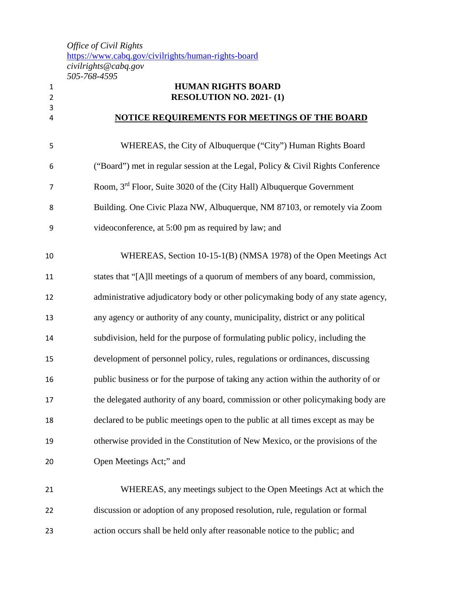*Office of Civil Rights*  <https://www.cabq.gov/civilrights/human-rights-board> *civilrights@cabq.gov 505-768-4595*

| $\mathbf{1}$<br>$\overline{2}$ | <b>HUMAN RIGHTS BOARD</b><br>RESOLUTION NO. 2021-(1)                               |
|--------------------------------|------------------------------------------------------------------------------------|
| 3<br>4                         | <b>NOTICE REQUIREMENTS FOR MEETINGS OF THE BOARD</b>                               |
| 5                              | WHEREAS, the City of Albuquerque ("City") Human Rights Board                       |
| 6                              | ("Board") met in regular session at the Legal, Policy & Civil Rights Conference    |
| 7                              | Room, 3 <sup>rd</sup> Floor, Suite 3020 of the (City Hall) Albuquerque Government  |
| 8                              | Building. One Civic Plaza NW, Albuquerque, NM 87103, or remotely via Zoom          |
| 9                              | videoconference, at 5:00 pm as required by law; and                                |
| 10                             | WHEREAS, Section 10-15-1(B) (NMSA 1978) of the Open Meetings Act                   |
| 11                             | states that "[A]ll meetings of a quorum of members of any board, commission,       |
| 12                             | administrative adjudicatory body or other policymaking body of any state agency,   |
| 13                             | any agency or authority of any county, municipality, district or any political     |
| 14                             | subdivision, held for the purpose of formulating public policy, including the      |
| 15                             | development of personnel policy, rules, regulations or ordinances, discussing      |
| 16                             | public business or for the purpose of taking any action within the authority of or |
| 17                             | the delegated authority of any board, commission or other policymaking body are    |
| 18                             | declared to be public meetings open to the public at all times except as may be    |
| 19                             | otherwise provided in the Constitution of New Mexico, or the provisions of the     |
| 20                             | Open Meetings Act;" and                                                            |
| 21                             | WHEREAS, any meetings subject to the Open Meetings Act at which the                |
| 22                             | discussion or adoption of any proposed resolution, rule, regulation or formal      |
| 23                             | action occurs shall be held only after reasonable notice to the public; and        |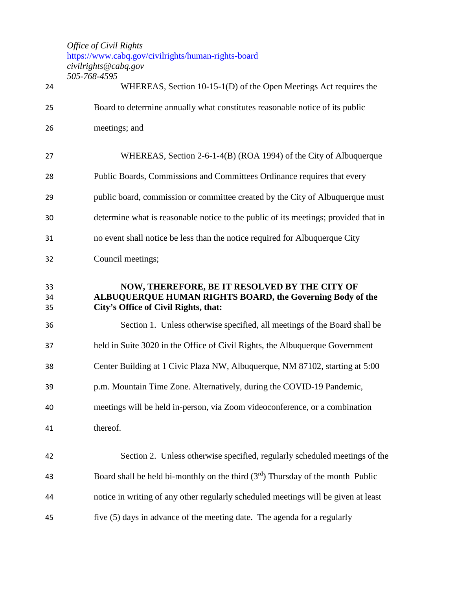*Office of Civil Rights* 

<https://www.cabq.gov/civilrights/human-rights-board>

*civilrights@cabq.gov*

|                | 505-768-4595                                                                                                                                       |
|----------------|----------------------------------------------------------------------------------------------------------------------------------------------------|
| 24             | WHEREAS, Section 10-15-1(D) of the Open Meetings Act requires the                                                                                  |
| 25             | Board to determine annually what constitutes reasonable notice of its public                                                                       |
| 26             | meetings; and                                                                                                                                      |
| 27             | WHEREAS, Section 2-6-1-4(B) (ROA 1994) of the City of Albuquerque                                                                                  |
| 28             | Public Boards, Commissions and Committees Ordinance requires that every                                                                            |
| 29             | public board, commission or committee created by the City of Albuquerque must                                                                      |
| 30             | determine what is reasonable notice to the public of its meetings; provided that in                                                                |
| 31             | no event shall notice be less than the notice required for Albuquerque City                                                                        |
| 32             | Council meetings;                                                                                                                                  |
| 33<br>34<br>35 | NOW, THEREFORE, BE IT RESOLVED BY THE CITY OF<br>ALBUQUERQUE HUMAN RIGHTS BOARD, the Governing Body of the<br>City's Office of Civil Rights, that: |
| 36             | Section 1. Unless otherwise specified, all meetings of the Board shall be                                                                          |
| 37             | held in Suite 3020 in the Office of Civil Rights, the Albuquerque Government                                                                       |
| 38             | Center Building at 1 Civic Plaza NW, Albuquerque, NM 87102, starting at 5:00                                                                       |
| 39             | p.m. Mountain Time Zone. Alternatively, during the COVID-19 Pandemic,                                                                              |
| 40             | meetings will be held in-person, via Zoom videoconference, or a combination                                                                        |
| 41             | thereof.                                                                                                                                           |
| 42             | Section 2. Unless otherwise specified, regularly scheduled meetings of the                                                                         |
| 43             | Board shall be held bi-monthly on the third $(3^{rd})$ Thursday of the month Public                                                                |
| 44             | notice in writing of any other regularly scheduled meetings will be given at least                                                                 |
| 45             | five (5) days in advance of the meeting date. The agenda for a regularly                                                                           |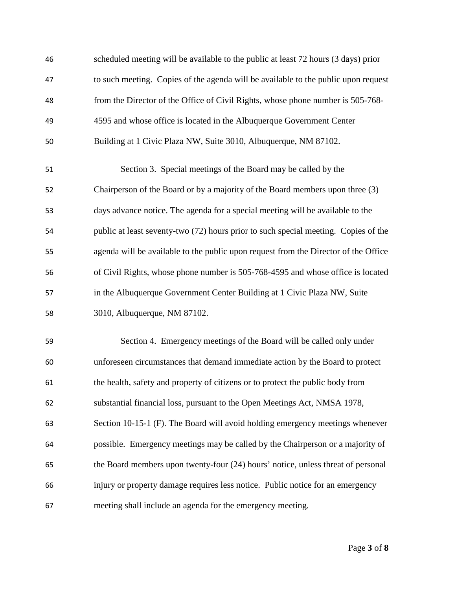| 46 | scheduled meeting will be available to the public at least 72 hours (3 days) prior  |
|----|-------------------------------------------------------------------------------------|
| 47 | to such meeting. Copies of the agenda will be available to the public upon request  |
| 48 | from the Director of the Office of Civil Rights, whose phone number is 505-768-     |
| 49 | 4595 and whose office is located in the Albuquerque Government Center               |
| 50 | Building at 1 Civic Plaza NW, Suite 3010, Albuquerque, NM 87102.                    |
| 51 | Section 3. Special meetings of the Board may be called by the                       |
| 52 | Chairperson of the Board or by a majority of the Board members upon three (3)       |
| 53 | days advance notice. The agenda for a special meeting will be available to the      |
| 54 | public at least seventy-two (72) hours prior to such special meeting. Copies of the |
| 55 | agenda will be available to the public upon request from the Director of the Office |
| 56 | of Civil Rights, whose phone number is 505-768-4595 and whose office is located     |
| 57 | in the Albuquerque Government Center Building at 1 Civic Plaza NW, Suite            |
| 58 | 3010, Albuquerque, NM 87102.                                                        |
| 59 | Section 4. Emergency meetings of the Board will be called only under                |
| 60 | unforeseen circumstances that demand immediate action by the Board to protect       |
| 61 | the health, safety and property of citizens or to protect the public body from      |
| 62 | substantial financial loss, pursuant to the Open Meetings Act, NMSA 1978,           |
| 63 | Section 10-15-1 (F). The Board will avoid holding emergency meetings whenever       |
| 64 | possible. Emergency meetings may be called by the Chairperson or a majority of      |
| 65 | the Board members upon twenty-four (24) hours' notice, unless threat of personal    |
| 66 | injury or property damage requires less notice. Public notice for an emergency      |
| 67 | meeting shall include an agenda for the emergency meeting.                          |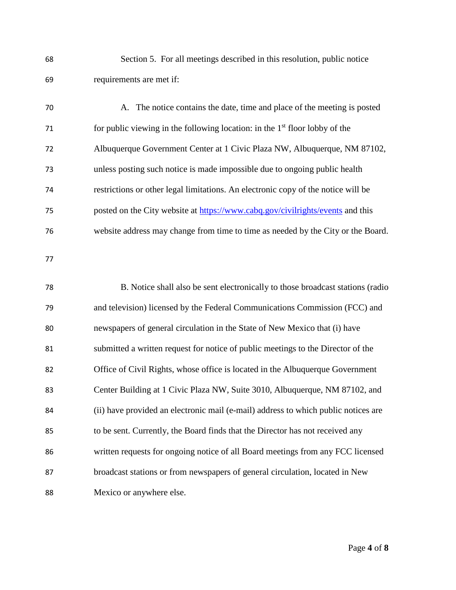| 68 | Section 5. For all meetings described in this resolution, public notice            |
|----|------------------------------------------------------------------------------------|
| 69 | requirements are met if:                                                           |
| 70 | A. The notice contains the date, time and place of the meeting is posted           |
| 71 | for public viewing in the following location: in the $1st$ floor lobby of the      |
| 72 | Albuquerque Government Center at 1 Civic Plaza NW, Albuquerque, NM 87102,          |
| 73 | unless posting such notice is made impossible due to ongoing public health         |
| 74 | restrictions or other legal limitations. An electronic copy of the notice will be  |
| 75 | posted on the City website at https://www.cabq.gov/civilrights/events and this     |
| 76 | website address may change from time to time as needed by the City or the Board.   |
| 77 |                                                                                    |
| 78 | B. Notice shall also be sent electronically to those broadcast stations (radio     |
| 79 | and television) licensed by the Federal Communications Commission (FCC) and        |
| 80 | newspapers of general circulation in the State of New Mexico that (i) have         |
| 81 | submitted a written request for notice of public meetings to the Director of the   |
| 82 | Office of Civil Rights, whose office is located in the Albuquerque Government      |
| 83 | Center Building at 1 Civic Plaza NW, Suite 3010, Albuquerque, NM 87102, and        |
| 84 | (ii) have provided an electronic mail (e-mail) address to which public notices are |
| 85 | to be sent. Currently, the Board finds that the Director has not received any      |
| 86 | written requests for ongoing notice of all Board meetings from any FCC licensed    |
| 87 | broadcast stations or from newspapers of general circulation, located in New       |
| 88 | Mexico or anywhere else.                                                           |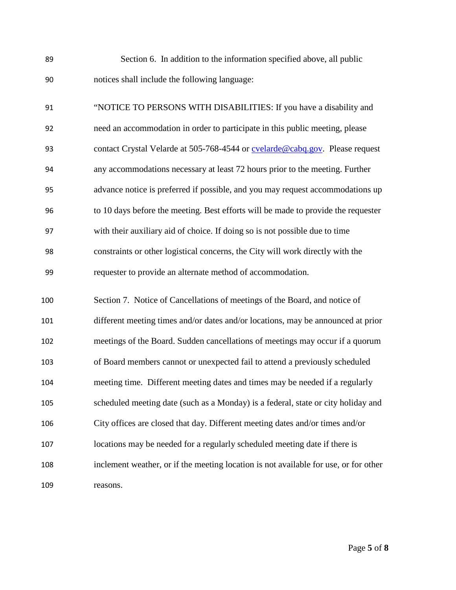| 89 | Section 6. In addition to the information specified above, all public        |
|----|------------------------------------------------------------------------------|
| 90 | notices shall include the following language:                                |
| 91 | "NOTICE TO PERSONS WITH DISABILITIES: If you have a disability and           |
| 92 | need an accommodation in order to participate in this public meeting, please |
| 93 | contact Crystal Velarde at 505-768-4544 or cvelarde@cabq.gov. Please request |

- any accommodations necessary at least 72 hours prior to the meeting. Further advance notice is preferred if possible, and you may request accommodations up to 10 days before the meeting. Best efforts will be made to provide the requester with their auxiliary aid of choice. If doing so is not possible due to time constraints or other logistical concerns, the City will work directly with the requester to provide an alternate method of accommodation.
- Section 7. Notice of Cancellations of meetings of the Board, and notice of different meeting times and/or dates and/or locations, may be announced at prior meetings of the Board. Sudden cancellations of meetings may occur if a quorum of Board members cannot or unexpected fail to attend a previously scheduled meeting time. Different meeting dates and times may be needed if a regularly scheduled meeting date (such as a Monday) is a federal, state or city holiday and City offices are closed that day. Different meeting dates and/or times and/or locations may be needed for a regularly scheduled meeting date if there is inclement weather, or if the meeting location is not available for use, or for other reasons.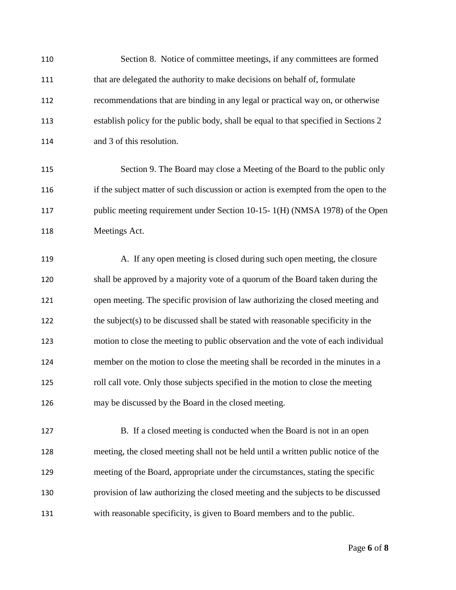| 110 | Section 8. Notice of committee meetings, if any committees are formed                |
|-----|--------------------------------------------------------------------------------------|
| 111 | that are delegated the authority to make decisions on behalf of, formulate           |
| 112 | recommendations that are binding in any legal or practical way on, or otherwise      |
| 113 | establish policy for the public body, shall be equal to that specified in Sections 2 |
| 114 | and 3 of this resolution.                                                            |
| 115 | Section 9. The Board may close a Meeting of the Board to the public only             |
| 116 | if the subject matter of such discussion or action is exempted from the open to the  |
| 117 | public meeting requirement under Section 10-15- 1(H) (NMSA 1978) of the Open         |
| 118 | Meetings Act.                                                                        |
| 119 | A. If any open meeting is closed during such open meeting, the closure               |
| 120 | shall be approved by a majority vote of a quorum of the Board taken during the       |
| 121 | open meeting. The specific provision of law authorizing the closed meeting and       |
| 122 | the subject(s) to be discussed shall be stated with reasonable specificity in the    |
| 123 | motion to close the meeting to public observation and the vote of each individual    |
| 124 | member on the motion to close the meeting shall be recorded in the minutes in a      |
| 125 | roll call vote. Only those subjects specified in the motion to close the meeting     |
| 126 | may be discussed by the Board in the closed meeting.                                 |
| 127 | B. If a closed meeting is conducted when the Board is not in an open                 |
| 128 | meeting, the closed meeting shall not be held until a written public notice of the   |
| 129 | meeting of the Board, appropriate under the circumstances, stating the specific      |
| 130 | provision of law authorizing the closed meeting and the subjects to be discussed     |
| 131 | with reasonable specificity, is given to Board members and to the public.            |
|     |                                                                                      |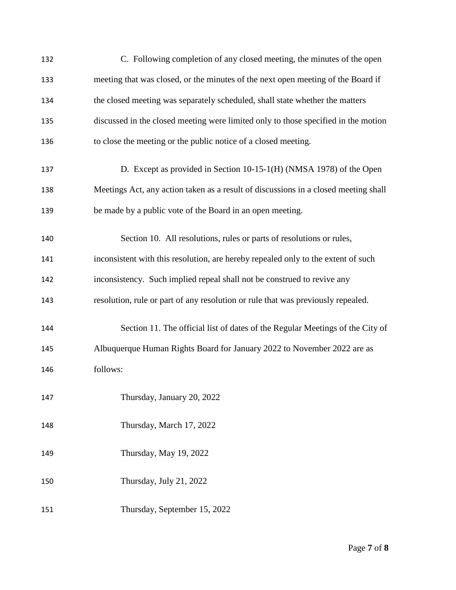| 132 | C. Following completion of any closed meeting, the minutes of the open              |
|-----|-------------------------------------------------------------------------------------|
| 133 | meeting that was closed, or the minutes of the next open meeting of the Board if    |
| 134 | the closed meeting was separately scheduled, shall state whether the matters        |
| 135 | discussed in the closed meeting were limited only to those specified in the motion  |
| 136 | to close the meeting or the public notice of a closed meeting.                      |
| 137 | D. Except as provided in Section 10-15-1(H) (NMSA 1978) of the Open                 |
| 138 | Meetings Act, any action taken as a result of discussions in a closed meeting shall |
| 139 | be made by a public vote of the Board in an open meeting.                           |
| 140 | Section 10. All resolutions, rules or parts of resolutions or rules,                |
| 141 | inconsistent with this resolution, are hereby repealed only to the extent of such   |
| 142 | inconsistency. Such implied repeal shall not be construed to revive any             |
| 143 | resolution, rule or part of any resolution or rule that was previously repealed.    |
| 144 | Section 11. The official list of dates of the Regular Meetings of the City of       |
| 145 | Albuquerque Human Rights Board for January 2022 to November 2022 are as             |
| 146 | follows:                                                                            |
| 147 | Thursday, January 20, 2022                                                          |
| 148 | Thursday, March 17, 2022                                                            |
| 149 | Thursday, May 19, 2022                                                              |
| 150 | Thursday, July 21, 2022                                                             |
| 151 | Thursday, September 15, 2022                                                        |